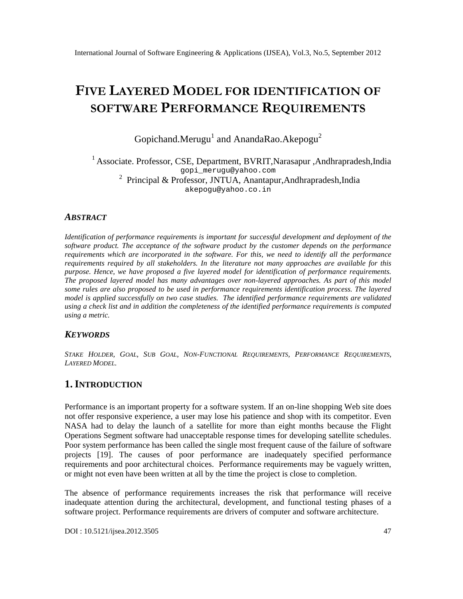# FIVELAYEREMODE FOR DENTIFICATO OFN SOFTWARER FOR MANREGOUIREMENTS

Gopichand.MeruguandAnandaRaoAkepogu<sup>2</sup>

#### <sup>1</sup>Associate. ProfessoCSE,DepartmentBVRIT,NarasapurAndhrapradesh,India [gopi\\_merugu@](mailto:gopi_merugu@yahoo.com) yahoo.com  $2$  Principal & ProfessorJNTUA, AnantapurAndhrapradesh,India [akepogu@yahoo.co.in](mailto:akepogu@yahoo.co)

#### ABSTRACT

Identification ofperformance requirements is important for successful development and deployment of the software product. The acceptance of the software product by the customer depends on the performance requirements which are incorporated in the softeva for this, we need to identifyll the performance requirements required by all stakeholders. In the rature not many approaches are available for this purpose. Hence, we have proposed a flaveredmodelfor identification of performance requirement The proposed layered mode as many advantages over nonversed approaches. As part of this model somerules are also proposed to bused inperformancerequirements identificatioprocess The layered modelis applied successfully on two case studies. The identified performance requirements are validated using a check list and in addition the completer of the identified performance requirements is computed using a metric.

## **KEYWORDS**

STAKE HOLDER, GOAL, SUB GOAL, NON-FUNCTIONAL REQUIREMENTS, PERFORMANCE REQUIREMENTS, LAYEREDMODEL.

## 1.I NTRODUCTION

Performance is an important property for a softwaystem. If an oline shopping Web site does not offer responsive experience, a user may lose his patience and shop with its competitor. Even NASA had to delay the launch of a satellite for more than eight months because the Flight Operations Segment two are had unacceptable response times for developing satellite schedules. Poor system performance has been called the single most frequent cause borthe faitware projects [19]. The causes of poor performance are inadequately specified performanc requirements and poor architectural choices. Performance requirements may be vaguely written, or might not even have been written at all by the time the project is close to completion.

The absence of performance requirements increases the risk trampace will receive inadequate attention during the architectural, development, and functional testing phases of a software project. Performance requirements are drivers of computer and software architecture.

DOI : 10.5121/ijsea.2012.350 47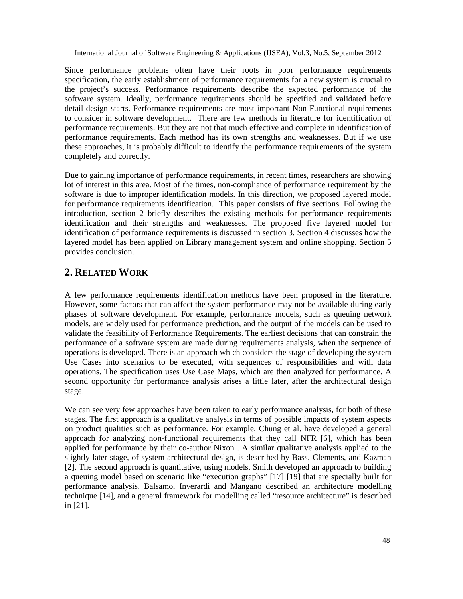Since performance problems often have their roots in poor performance requirements specification, the early establishment of performance requirements for a new system is crucial to the project's success. Performance requirements describe the expected performance of the software system. Ideally, performance requirements should be specified and validated before detail design starts. Performance requirements are most important Non-Functional requirements to consider in software development. There are few methods in literature for identification of performance requirements. But they are not that much effective and complete in identification of performance requirements. Each method has its own strengths and weaknesses. But if we use these approaches, it is probably difficult to identify the performance requirements of the system completely and correctly.

Due to gaining importance of performance requirements, in recent times, researchers are showing lot of interest in this area. Most of the times, non-compliance of performance requirement by the software is due to improper identification models. In this direction, we proposed layered model for performance requirements identification. This paper consists of five sections. Following the introduction, section 2 briefly describes the existing methods for performance requirements identification and their strengths and weaknesses. The proposed five layered model for identification of performance requirements is discussed in section 3. Section 4 discusses how the layered model has been applied on Library management system and online shopping. Section 5 provides conclusion.

## **2. RELATED WORK**

A few performance requirements identification methods have been proposed in the literature. However, some factors that can affect the system performance may not be available during early phases of software development. For example, performance models, such as queuing network models, are widely used for performance prediction, and the output of the models can be used to validate the feasibility of Performance Requirements. The earliest decisions that can constrain the performance of a software system are made during requirements analysis, when the sequence of operations is developed. There is an approach which considers the stage of developing the system Use Cases into scenarios to be executed, with sequences of responsibilities and with data operations. The specification uses Use Case Maps, which are then analyzed for performance. A second opportunity for performance analysis arises a little later, after the architectural design stage.

We can see very few approaches have been taken to early performance analysis, for both of these stages. The first approach is a qualitative analysis in terms of possible impacts of system aspects on product qualities such as performance. For example, Chung et al. have developed a general approach for analyzing non-functional requirements that they call NFR [6], which has been applied for performance by their co-author Nixon . A similar qualitative analysis applied to the slightly later stage, of system architectural design, is described by Bass, Clements, and Kazman [2]. The second approach is quantitative, using models. Smith developed an approach to building a queuing model based on scenario like "execution graphs" [17] [19] that are specially built for performance analysis. Balsamo, Inverardi and Mangano described an architecture modelling technique [14], and a general framework for modelling called "resource architecture" is described in [21].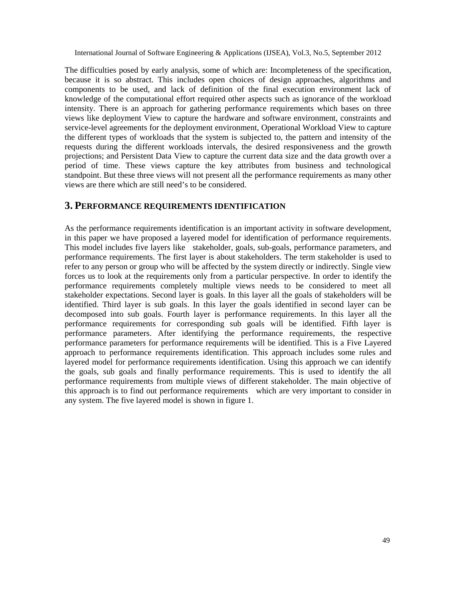The difficulties posed by early analysis, some of which are: Incompleteness of the specification, because it is so abstract. This includes open choices of design approaches, algorithms and components to be used, and lack of definition of the final execution environment lack of knowledge of the computational effort required other aspects such as ignorance of the workload intensity. There is an approach for gathering performance requirements which bases on three views like deployment View to capture the hardware and software environment, constraints and service-level agreements for the deployment environment, Operational Workload View to capture the different types of workloads that the system is subjected to, the pattern and intensity of the requests during the different workloads intervals, the desired responsiveness and the growth projections; and Persistent Data View to capture the current data size and the data growth over a period of time. These views capture the key attributes from business and technological standpoint. But these three views will not present all the performance requirements as many other views are there which are still need's to be considered.

#### **3. PERFORMANCE REQUIREMENTS IDENTIFICATION**

As the performance requirements identification is an important activity in software development, in this paper we have proposed a layered model for identification of performance requirements. This model includes five layers like stakeholder, goals, sub-goals, performance parameters, and performance requirements. The first layer is about stakeholders. The term stakeholder is used to refer to any person or group who will be affected by the system directly or indirectly. Single view forces us to look at the requirements only from a particular perspective. In order to identify the performance requirements completely multiple views needs to be considered to meet all stakeholder expectations. Second layer is goals. In this layer all the goals of stakeholders will be identified. Third layer is sub goals. In this layer the goals identified in second layer can be decomposed into sub goals. Fourth layer is performance requirements. In this layer all the performance requirements for corresponding sub goals will be identified. Fifth layer is performance parameters. After identifying the performance requirements, the respective performance parameters for performance requirements will be identified. This is a Five Layered approach to performance requirements identification. This approach includes some rules and layered model for performance requirements identification. Using this approach we can identify the goals, sub goals and finally performance requirements. This is used to identify the all performance requirements from multiple views of different stakeholder. The main objective of this approach is to find out performance requirements which are very important to consider in any system. The five layered model is shown in figure 1.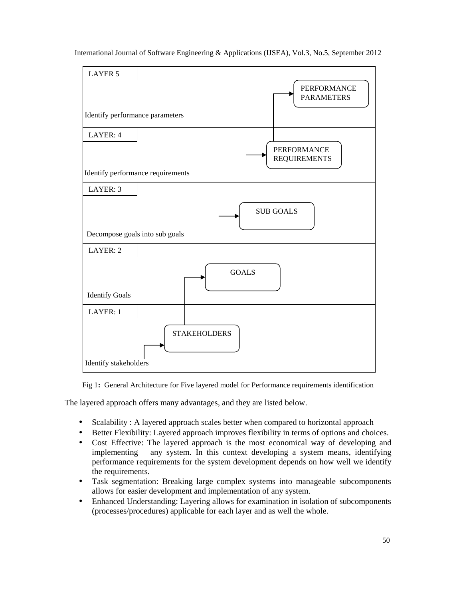



Fig 1**:** General Architecture for Five layered model for Performance requirements identification

The layered approach offers many advantages, and they are listed below.

- Scalability: A layered approach scales better when compared to horizontal approach
- Better Flexibility: Layered approach improves flexibility in terms of options and choices.
- Cost Effective: The layered approach is the most economical way of developing and implementing any system. In this context developing a system means, identifying performance requirements for the system development depends on how well we identify the requirements.
- Task segmentation: Breaking large complex systems into manageable subcomponents allows for easier development and implementation of any system.
- Enhanced Understanding: Layering allows for examination in isolation of subcomponents (processes/procedures) applicable for each layer and as well the whole.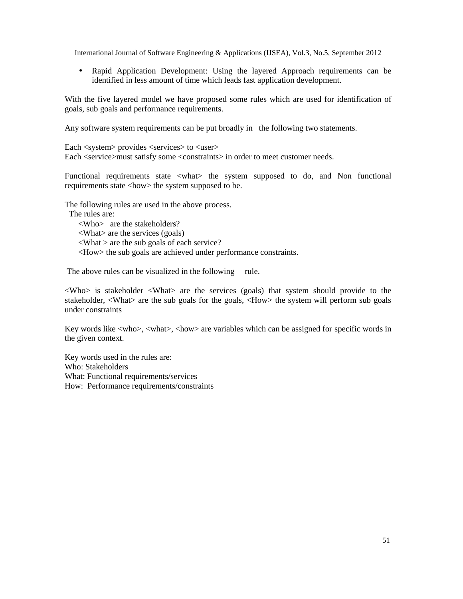• Rapid Application Development: Using the layered Approach requirements can be identified in less amount of time which leads fast application development.

With the five layered model we have proposed some rules which are used for identification of goals, sub goals and performance requirements.

Any software system requirements can be put broadly in the following two statements.

Each <system> provides <services> to <user> Each <service>must satisfy some <constraints> in order to meet customer needs.

Functional requirements state <what> the system supposed to do, and Non functional requirements state <how> the system supposed to be.

The following rules are used in the above process.

The rules are:

<Who> are the stakeholders?

<What> are the services (goals)

 $\langle$ What  $>$  are the sub goals of each service?

<How> the sub goals are achieved under performance constraints.

The above rules can be visualized in the following rule.

 $\langle$ Who> is stakeholder  $\langle$ What $\rangle$  are the services (goals) that system should provide to the stakeholder, <What> are the sub goals for the goals, <How> the system will perform sub goals under constraints

Key words like <who>, <what>, <how> are variables which can be assigned for specific words in the given context.

Key words used in the rules are: Who: Stakeholders What: Functional requirements/services How: Performance requirements/constraints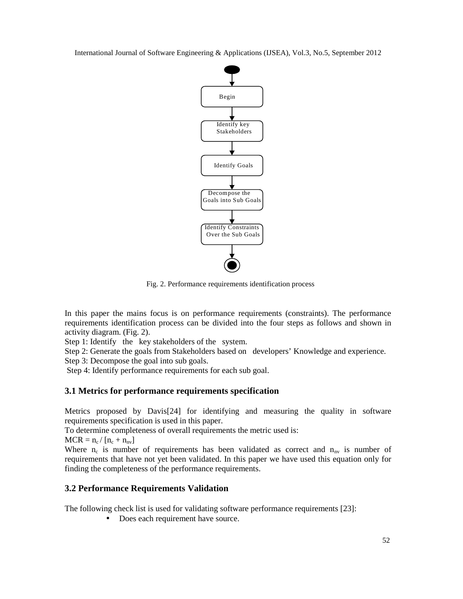

Fig. 2. Performance requirements identification process

In this paper the mains focus is on performance requirements (constraints). The performance requirements identification process can be divided into the four steps as follows and shown in activity diagram. (Fig. 2).

Step 1: Identify the key stakeholders of the system.

Step 2: Generate the goals from Stakeholders based on developers' Knowledge and experience.

Step 3: Decompose the goal into sub goals.

Step 4: Identify performance requirements for each sub goal.

## **3.1 Metrics for performance requirements specification**

Metrics proposed by Davis[24] for identifying and measuring the quality in software requirements specification is used in this paper.

To determine completeness of overall requirements the metric used is:

 $MCR = n_c / [n_c + n_{nv}]$ 

Where  $n_c$  is number of requirements has been validated as correct and  $n_{nv}$  is number of requirements that have not yet been validated. In this paper we have used this equation only for finding the completeness of the performance requirements.

## **3.2 Performance Requirements Validation**

The following check list is used for validating software performance requirements [23]:

• Does each requirement have source.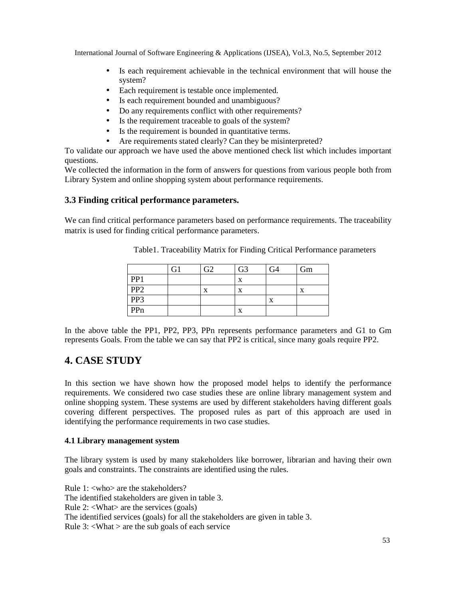- Is each requirement achievable in the technical environment that will house the system?
- Each requirement is testable once implemented.
- Is each requirement bounded and unambiguous?
- Do any requirements conflict with other requirements?
- Is the requirement traceable to goals of the system?
- Is the requirement is bounded in quantitative terms.
- Are requirements stated clearly? Can they be misinterpreted?

To validate our approach we have used the above mentioned check list which includes important questions.

We collected the information in the form of answers for questions from various people both from Library System and online shopping system about performance requirements.

#### **3.3 Finding critical performance parameters.**

We can find critical performance parameters based on performance requirements. The traceability matrix is used for finding critical performance parameters.

|                 | ີ | G <sub>3</sub> | ٦4 | Gm |
|-----------------|---|----------------|----|----|
| PP1             |   | x              |    |    |
| PP <sub>2</sub> | X | X              |    | X  |
| PP3             |   |                | X  |    |
| PPn             |   | X              |    |    |

Table1. Traceability Matrix for Finding Critical Performance parameters

In the above table the PP1, PP2, PP3, PPn represents performance parameters and G1 to Gm represents Goals. From the table we can say that PP2 is critical, since many goals require PP2.

## **4. CASE STUDY**

In this section we have shown how the proposed model helps to identify the performance requirements. We considered two case studies these are online library management system and online shopping system. These systems are used by different stakeholders having different goals covering different perspectives. The proposed rules as part of this approach are used in identifying the performance requirements in two case studies.

#### **4.1 Library management system**

The library system is used by many stakeholders like borrower, librarian and having their own goals and constraints. The constraints are identified using the rules.

Rule 1: <who> are the stakeholders? The identified stakeholders are given in table 3. Rule 2: <What> are the services (goals) The identified services (goals) for all the stakeholders are given in table 3. Rule  $3$ :  $\langle$ What  $>$  are the sub goals of each service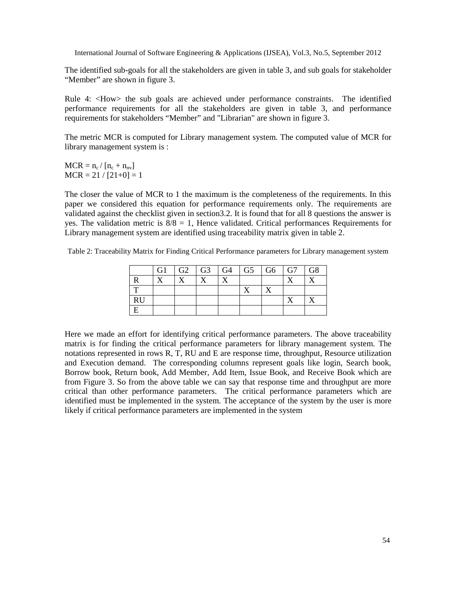The identified sub-goals for all the stakeholders are given in table 3, and sub goals for stakeholder "Member" are shown in figure 3.

Rule 4: <How> the sub goals are achieved under performance constraints. The identified performance requirements for all the stakeholders are given in table 3, and performance requirements for stakeholders "Member" and "Librarian" are shown in figure 3.

The metric MCR is computed for Library management system. The computed value of MCR for library management system is :

 $MCR = n_c / [n_c + n_{nv}]$  $MCR = 21 / [21+0] = 1$ 

The closer the value of MCR to 1 the maximum is the completeness of the requirements. In this paper we considered this equation for performance requirements only. The requirements are validated against the checklist given in section3.2. It is found that for all 8 questions the answer is yes. The validation metric is  $8/8 = 1$ , Hence validated. Critical performances Requirements for Library management system are identified using traceability matrix given in table 2.

Table 2: Traceability Matrix for Finding Critical Performance parameters for Library management system

|           | G1 | $G2$ $G3$ $G4$ | $G5 \mid G6$ | $\overline{\phantom{a}}$ G7 | G8 |
|-----------|----|----------------|--------------|-----------------------------|----|
| R         |    |                |              |                             |    |
|           |    |                |              |                             |    |
| <b>RU</b> |    |                |              |                             |    |
|           |    |                |              |                             |    |

Here we made an effort for identifying critical performance parameters. The above traceability matrix is for finding the critical performance parameters for library management system. The notations represented in rows R, T, RU and E are response time, throughput, Resource utilization and Execution demand. The corresponding columns represent goals like login, Search book, Borrow book, Return book, Add Member, Add Item, Issue Book, and Receive Book which are from Figure 3. So from the above table we can say that response time and throughput are more critical than other performance parameters. The critical performance parameters which are identified must be implemented in the system. The acceptance of the system by the user is more likely if critical performance parameters are implemented in the system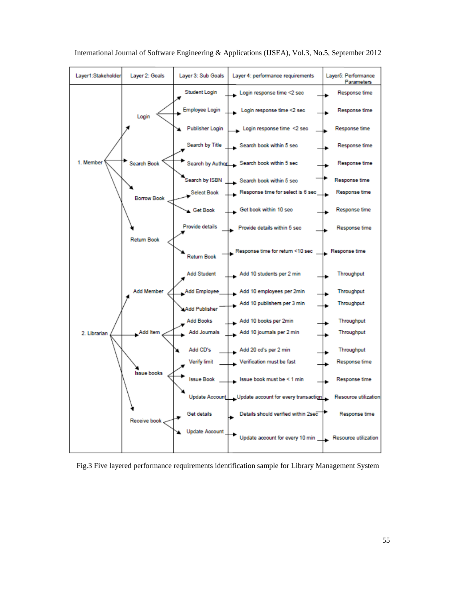

International Journal of Software Engineering & Applications (IJSEA), Vol.3, No.5, September 2012

Fig.3 Five layered performance requirements identification sample for Library Management System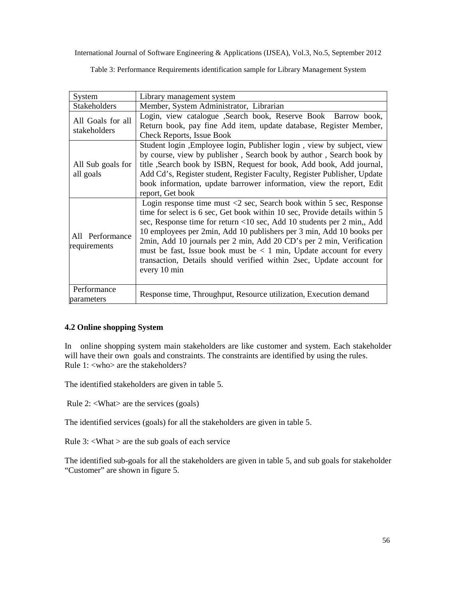Table 3: Performance Requirements identification sample for Library Management System

| System                                                                                                                                                                                                      | Library management system                                                                                                                                                                                                                                                                                                                                                                                                                                                                                                                                      |  |  |  |
|-------------------------------------------------------------------------------------------------------------------------------------------------------------------------------------------------------------|----------------------------------------------------------------------------------------------------------------------------------------------------------------------------------------------------------------------------------------------------------------------------------------------------------------------------------------------------------------------------------------------------------------------------------------------------------------------------------------------------------------------------------------------------------------|--|--|--|
| Stakeholders                                                                                                                                                                                                | Member, System Administrator, Librarian                                                                                                                                                                                                                                                                                                                                                                                                                                                                                                                        |  |  |  |
| Login, view catalogue ,Search book, Reserve Book Barrow book,<br>All Goals for all<br>Return book, pay fine Add item, update database, Register Member,<br>stakeholders<br><b>Check Reports, Issue Book</b> |                                                                                                                                                                                                                                                                                                                                                                                                                                                                                                                                                                |  |  |  |
| All Sub goals for<br>all goals                                                                                                                                                                              | Student login, Employee login, Publisher login, view by subject, view<br>by course, view by publisher, Search book by author, Search book by<br>title ,Search book by ISBN, Request for book, Add book, Add journal,<br>Add Cd's, Register student, Register Faculty, Register Publisher, Update<br>book information, update barrower information, view the report, Edit<br>report, Get book                                                                                                                                                                   |  |  |  |
| All Performance<br>requirements                                                                                                                                                                             | Login response time must $\langle 2 \rangle$ sec, Search book within 5 sec, Response<br>time for select is 6 sec, Get book within 10 sec, Provide details within 5<br>sec, Response time for return <10 sec, Add 10 students per 2 min,, Add<br>10 employees per 2min, Add 10 publishers per 3 min, Add 10 books per<br>2min, Add 10 journals per 2 min, Add 20 CD's per 2 min, Verification<br>must be fast, Issue book must be $\lt 1$ min, Update account for every<br>transaction, Details should verified within 2sec, Update account for<br>every 10 min |  |  |  |
| Performance<br>parameters                                                                                                                                                                                   | Response time, Throughput, Resource utilization, Execution demand                                                                                                                                                                                                                                                                                                                                                                                                                                                                                              |  |  |  |

#### **4.2 Online shopping System**

In online shopping system main stakeholders are like customer and system. Each stakeholder will have their own goals and constraints. The constraints are identified by using the rules. Rule 1: <who> are the stakeholders?

The identified stakeholders are given in table 5.

Rule 2: <What> are the services (goals)

The identified services (goals) for all the stakeholders are given in table 5.

Rule  $3$ :  $\langle$ What  $>$  are the sub goals of each service

The identified sub-goals for all the stakeholders are given in table 5, and sub goals for stakeholder "Customer" are shown in figure 5.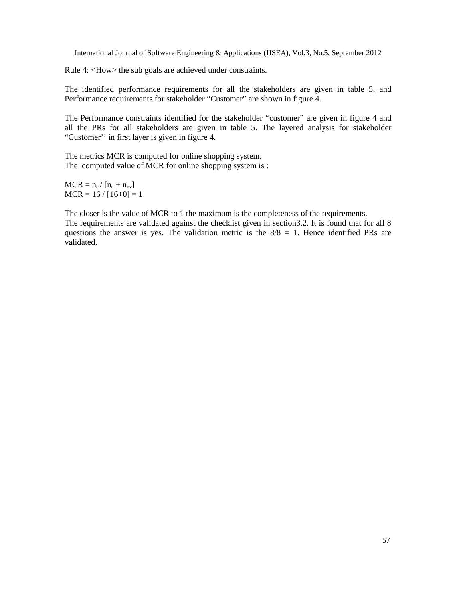Rule 4: <How> the sub goals are achieved under constraints.

The identified performance requirements for all the stakeholders are given in table 5, and Performance requirements for stakeholder "Customer" are shown in figure 4.

The Performance constraints identified for the stakeholder "customer" are given in figure 4 and all the PRs for all stakeholders are given in table 5. The layered analysis for stakeholder "Customer'' in first layer is given in figure 4.

The metrics MCR is computed for online shopping system. The computed value of MCR for online shopping system is :

 $MCR = n_c / [n_c + n_{nv}]$  $MCR = 16 / [16+0] = 1$ 

The closer is the value of MCR to 1 the maximum is the completeness of the requirements. The requirements are validated against the checklist given in section3.2. It is found that for all 8 questions the answer is yes. The validation metric is the  $8/8 = 1$ . Hence identified PRs are validated.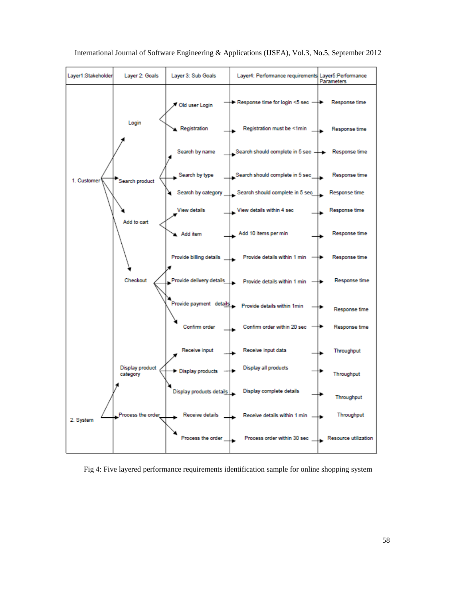

International Journal of Software Engineering & Applications (IJSEA), Vol.3, No.5, September 2012

Fig 4: Five layered performance requirements identification sample for online shopping system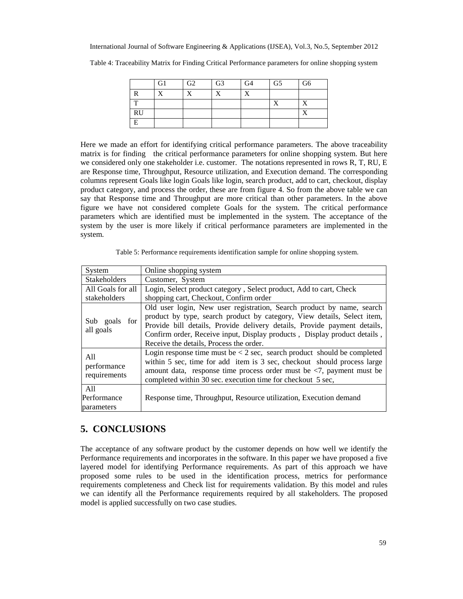|              | G <sub>1</sub> | G <sub>2</sub> | G <sub>3</sub> | G4 | G5       | G6 |
|--------------|----------------|----------------|----------------|----|----------|----|
| R            | $\mathbf v$    | v              | $\mathbf v$    | v  |          |    |
| $\mathbf{T}$ |                |                |                |    | <b>T</b> | X  |
| RU           |                |                |                |    |          | v  |
| E            |                |                |                |    |          |    |
|              |                |                |                |    |          |    |

Table 4: Traceability Matrix for Finding Critical Performance parameters for online shopping system

Here we made an effort for identifying critical performance parameters. The above traceability matrix is for finding the critical performance parameters for online shopping system. But here we considered only one stakeholder i.e. customer. The notations represented in rows R, T, RU, E are Response time, Throughput, Resource utilization, and Execution demand. The corresponding columns represent Goals like login Goals like login, search product, add to cart, checkout, display product category, and process the order, these are from figure 4. So from the above table we can say that Response time and Throughput are more critical than other parameters. In the above figure we have not considered complete Goals for the system. The critical performance parameters which are identified must be implemented in the system. The acceptance of the system by the user is more likely if critical performance parameters are implemented in the system.

Table 5: Performance requirements identification sample for online shopping system.

| System                             | Online shopping system                                                                                                                                                                                                                                                                                                                              |  |  |
|------------------------------------|-----------------------------------------------------------------------------------------------------------------------------------------------------------------------------------------------------------------------------------------------------------------------------------------------------------------------------------------------------|--|--|
| <b>Stakeholders</b>                | Customer, System                                                                                                                                                                                                                                                                                                                                    |  |  |
| All Goals for all                  | Login, Select product category, Select product, Add to cart, Check                                                                                                                                                                                                                                                                                  |  |  |
| stakeholders                       | shopping cart, Checkout, Confirm order                                                                                                                                                                                                                                                                                                              |  |  |
| Sub goals<br>for<br>all goals      | Old user login, New user registration, Search product by name, search<br>product by type, search product by category, View details, Select item,<br>Provide bill details, Provide delivery details, Provide payment details,<br>Confirm order, Receive input, Display products, Display product details,<br>Receive the details, Process the order. |  |  |
| A11<br>performance<br>requirements | Login response time must be $< 2$ sec, search product should be completed<br>within 5 sec, time for add item is 3 sec, checkout should process large<br>amount data, response time process order must be $\langle 7,$ payment must be<br>completed within 30 sec. execution time for checkout 5 sec,                                                |  |  |
| A11<br>Performance<br>parameters   | Response time, Throughput, Resource utilization, Execution demand                                                                                                                                                                                                                                                                                   |  |  |

## **5. CONCLUSIONS**

The acceptance of any software product by the customer depends on how well we identify the Performance requirements and incorporates in the software. In this paper we have proposed a five layered model for identifying Performance requirements. As part of this approach we have proposed some rules to be used in the identification process, metrics for performance requirements completeness and Check list for requirements validation. By this model and rules we can identify all the Performance requirements required by all stakeholders. The proposed model is applied successfully on two case studies.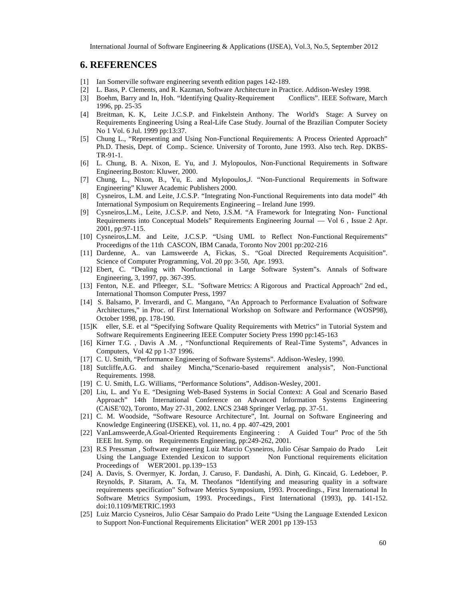#### **6. REFERENCES**

- [1] Ian Somerville software engineering seventh edition pages 142-189.
- [2] L. Bass, P. Clements, and R. Kazman, Software Architecture in Practice. Addison-Wesley 1998.
- [3] Boehm, Barry and In, Hoh. "Identifying Quality-Requirement Conflicts". IEEE Software, March 1996, pp. 25-35
- [4] Breitman, K. K, Leite J.C.S.P. and Finkelstein Anthony. The World's Stage: A Survey on Requirements Engineering Using a Real-Life Case Study. Journal of the Brazilian Computer Society No 1 Vol. 6 Jul. 1999 pp:13:37.
- [5] Chung L., "Representing and Using Non-Functional Requirements: A Process Oriented Approach" Ph.D. Thesis, Dept. of Comp.. Science. University of Toronto, June 1993. Also tech. Rep. DKBS-TR-91-1.
- [6] L. Chung, B. A. Nixon, E. Yu, and J. Mylopoulos, Non-Functional Requirements in Software Engineering.Boston: Kluwer, 2000.
- [7] Chung, L., Nixon, B., Yu, E. and Mylopoulos,J. "Non-Functional Requirements in Software Engineering" Kluwer Academic Publishers 2000.
- [8] Cysneiros, L.M. and Leite, J.C.S.P. "Integrating Non-Functional Requirements into data model" 4th International Symposium on Requirements Engineering – Ireland June 1999.
- [9] Cysneiros,L.M., Leite, J.C.S.P. and Neto, J.S.M. "A Framework for Integrating Non- Functional Requirements into Conceptual Models" Requirements Engineering Journal –– Vol 6 , Issue 2 Apr. 2001, pp:97-115.
- [10] Cysneiros,L.M. and Leite, J.C.S.P. "Using UML to Reflect Non-Functional Requirements" Proceedigns of the 11th CASCON, IBM Canada, Toronto Nov 2001 pp:202-216
- [11] Dardenne, A.. van Lamsweerde A, Fickas, S.. "Goal Directed Requirements Acquisition". Science of Computer Programming, Vol. 20 pp: 3-50, Apr. 1993.
- [12] Ebert, C. "Dealing with Nonfunctional in Large Software System"s. Annals of Software Engineering, 3, 1997, pp. 367-395.
- [13] Fenton, N.E. and Pfleeger, S.L. "Software Metrics: A Rigorous and Practical Approach" 2nd ed., International Thomson Computer Press, 1997
- [14] S. Balsamo, P. Inverardi, and C. Mangano, "An Approach to Performance Evaluation of Software Architectures," in Proc. of First International Workshop on Software and Performance (WOSP98), October 1998, pp. 178-190.
- [15]K eller, S.E. et al "Specifying Software Quality Requirements with Metrics" in Tutorial System and Software Requirements Engineering IEEE Computer Society Press 1990 pp:145-163
- [16] Kirner T.G. , Davis A .M. , "Nonfunctional Requirements of Real-Time Systems", Advances in Computers, Vol 42 pp 1-37 1996.
- [17] C. U. Smith, "Performance Engineering of Software Systems". Addison-Wesley, 1990.
- [18] Sutcliffe,A.G. and shailey Mincha,"Scenario-based requirement analysis", Non-Functional Requirements. 1998.
- [19] C. U. Smith, L.G. Williams, "Performance Solutions", Addison-Wesley, 2001.
- [20] Liu, L. and Yu E. "Designing Web-Based Systems in Social Context: A Goal and Scenario Based Approach" 14th International Conference on Advanced Information Systems Engineering (CAiSE'02), Toronto, May 27-31, 2002. LNCS 2348 Springer Verlag. pp. 37-51.
- [21] C. M. Woodside, "Software Resource Architecture", Int. Journal on Software Engineering and Knowledge Engineering (IJSEKE), vol. 11, no. 4 pp. 407-429, 2001
- [22] VanLamsweerde,A.Goal-Oriented Requirements Engineering : A Guided Tour" Proc of the 5th IEEE Int. Symp. on Requirements Engineering, pp:249-262, 2001.
- [23] R.S Pressman , Software engineering Luiz Marcio Cysneiros, Julio César Sampaio do Prado Leit Using the Language Extended Lexicon to support Non Functional requirements elicitation Proceedings of WER'2001. pp.139~153
- [24] A. Davis, S. Overmyer, K. Jordan, J. Caruso, F. Dandashi, A. Dinh, G. Kincaid, G. Ledeboer, P. Reynolds, P. Sitaram, A. Ta, M. Theofanos "Identifying and measuring quality in a software requirements specification" Software Metrics Symposium, 1993. Proceedings., First International In Software Metrics Symposium, 1993. Proceedings., First International (1993), pp. 141-152. doi:10.1109/METRIC.1993
- [25] Luiz Marcio Cysneiros, Julio César Sampaio do Prado Leite "Using the Language Extended Lexicon to Support Non-Functional Requirements Elicitation" WER 2001 pp 139-153